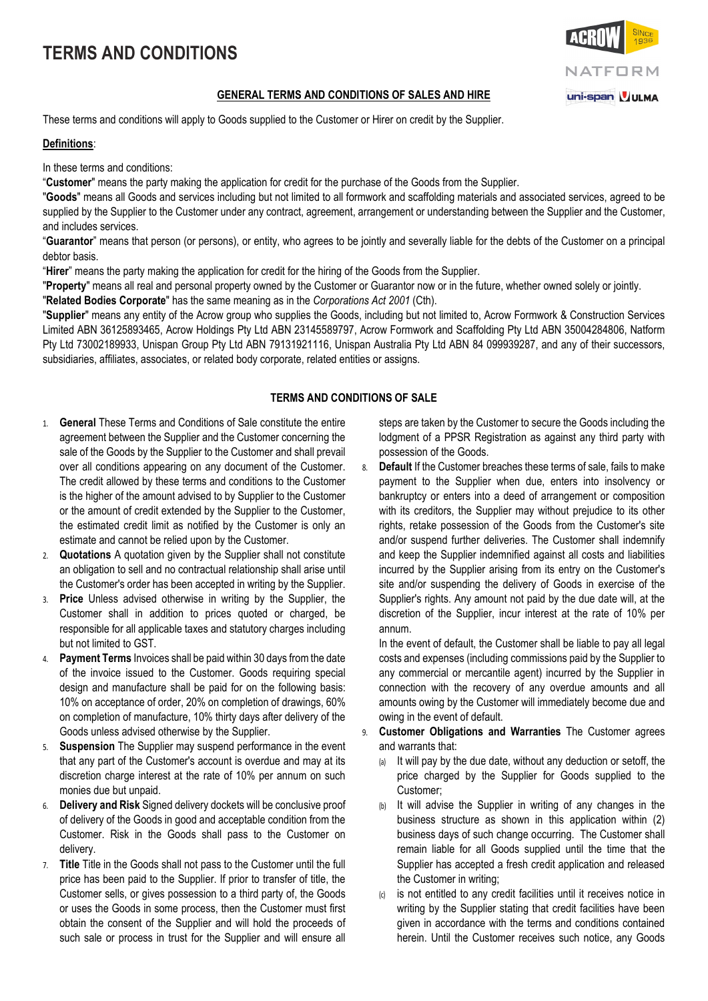# **TERMS AND CONDITIONS**

### **GENERAL TERMS AND CONDITIONS OF SALES AND HIRE**

These terms and conditions will apply to Goods supplied to the Customer or Hirer on credit by the Supplier.

#### **Definitions**:

In these terms and conditions:

"**Customer**" means the party making the application for credit for the purchase of the Goods from the Supplier.

"**Goods**" means all Goods and services including but not limited to all formwork and scaffolding materials and associated services, agreed to be supplied by the Supplier to the Customer under any contract, agreement, arrangement or understanding between the Supplier and the Customer, and includes services.

"**Guarantor**" means that person (or persons), or entity, who agrees to be jointly and severally liable for the debts of the Customer on a principal debtor basis.

"**Hirer**" means the party making the application for credit for the hiring of the Goods from the Supplier.

"**Property**" means all real and personal property owned by the Customer or Guarantor now or in the future, whether owned solely or jointly.

"**Related Bodies Corporate**" has the same meaning as in the *Corporations Act 2001* (Cth).

"**Supplier**" means any entity of the Acrow group who supplies the Goods, including but not limited to, Acrow Formwork & Construction Services Limited ABN 36125893465, Acrow Holdings Pty Ltd ABN 23145589797, Acrow Formwork and Scaffolding Pty Ltd ABN 35004284806, Natform Pty Ltd 73002189933, Unispan Group Pty Ltd ABN 79131921116, Unispan Australia Pty Ltd ABN 84 099939287, and any of their successors, subsidiaries, affiliates, associates, or related body corporate, related entities or assigns.

## **TERMS AND CONDITIONS OF SALE**

- 1. **General** These Terms and Conditions of Sale constitute the entire agreement between the Supplier and the Customer concerning the sale of the Goods by the Supplier to the Customer and shall prevail over all conditions appearing on any document of the Customer. The credit allowed by these terms and conditions to the Customer is the higher of the amount advised to by Supplier to the Customer or the amount of credit extended by the Supplier to the Customer, the estimated credit limit as notified by the Customer is only an estimate and cannot be relied upon by the Customer.
- 2. **Quotations** A quotation given by the Supplier shall not constitute an obligation to sell and no contractual relationship shall arise until the Customer's order has been accepted in writing by the Supplier.
- 3. **Price** Unless advised otherwise in writing by the Supplier, the Customer shall in addition to prices quoted or charged, be responsible for all applicable taxes and statutory charges including but not limited to GST.
- 4. **Payment Terms** Invoices shall be paid within 30 days from the date of the invoice issued to the Customer. Goods requiring special design and manufacture shall be paid for on the following basis: 10% on acceptance of order, 20% on completion of drawings, 60% on completion of manufacture, 10% thirty days after delivery of the Goods unless advised otherwise by the Supplier.
- 5. **Suspension** The Supplier may suspend performance in the event that any part of the Customer's account is overdue and may at its discretion charge interest at the rate of 10% per annum on such monies due but unpaid.
- 6. **Delivery and Risk** Signed delivery dockets will be conclusive proof of delivery of the Goods in good and acceptable condition from the Customer. Risk in the Goods shall pass to the Customer on delivery.
- 7. **Title** Title in the Goods shall not pass to the Customer until the full price has been paid to the Supplier. If prior to transfer of title, the Customer sells, or gives possession to a third party of, the Goods or uses the Goods in some process, then the Customer must first obtain the consent of the Supplier and will hold the proceeds of such sale or process in trust for the Supplier and will ensure all

steps are taken by the Customer to secure the Goods including the lodgment of a PPSR Registration as against any third party with possession of the Goods.

8. **Default** If the Customer breaches these terms of sale, fails to make payment to the Supplier when due, enters into insolvency or bankruptcy or enters into a deed of arrangement or composition with its creditors, the Supplier may without prejudice to its other rights, retake possession of the Goods from the Customer's site and/or suspend further deliveries. The Customer shall indemnify and keep the Supplier indemnified against all costs and liabilities incurred by the Supplier arising from its entry on the Customer's site and/or suspending the delivery of Goods in exercise of the Supplier's rights. Any amount not paid by the due date will, at the discretion of the Supplier, incur interest at the rate of 10% per annum.

In the event of default, the Customer shall be liable to pay all legal costs and expenses (including commissions paid by the Supplier to any commercial or mercantile agent) incurred by the Supplier in connection with the recovery of any overdue amounts and all amounts owing by the Customer will immediately become due and owing in the event of default.

9. **Customer Obligations and Warranties** The Customer agrees and warrants that:

- (a) It will pay by the due date, without any deduction or setoff, the price charged by the Supplier for Goods supplied to the Customer;
- (b) It will advise the Supplier in writing of any changes in the business structure as shown in this application within (2) business days of such change occurring. The Customer shall remain liable for all Goods supplied until the time that the Supplier has accepted a fresh credit application and released the Customer in writing;
- is not entitled to any credit facilities until it receives notice in writing by the Supplier stating that credit facilities have been given in accordance with the terms and conditions contained herein. Until the Customer receives such notice, any Goods

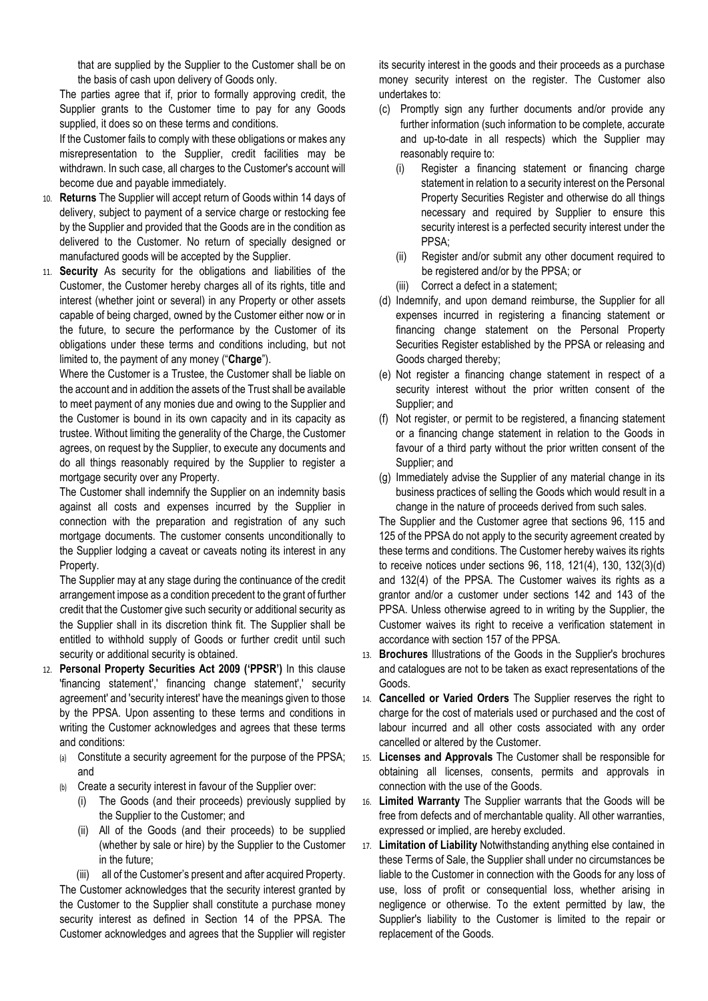that are supplied by the Supplier to the Customer shall be on the basis of cash upon delivery of Goods only.

The parties agree that if, prior to formally approving credit, the Supplier grants to the Customer time to pay for any Goods supplied, it does so on these terms and conditions.

If the Customer fails to comply with these obligations or makes any misrepresentation to the Supplier, credit facilities may be withdrawn. In such case, all charges to the Customer's account will become due and payable immediately.

- 10. **Returns** The Supplier will accept return of Goods within 14 days of delivery, subject to payment of a service charge or restocking fee by the Supplier and provided that the Goods are in the condition as delivered to the Customer. No return of specially designed or manufactured goods will be accepted by the Supplier.
- 11. **Security** As security for the obligations and liabilities of the Customer, the Customer hereby charges all of its rights, title and interest (whether joint or several) in any Property or other assets capable of being charged, owned by the Customer either now or in the future, to secure the performance by the Customer of its obligations under these terms and conditions including, but not limited to, the payment of any money ("**Charge**").

Where the Customer is a Trustee, the Customer shall be liable on the account and in addition the assets of the Trust shall be available to meet payment of any monies due and owing to the Supplier and the Customer is bound in its own capacity and in its capacity as trustee. Without limiting the generality of the Charge, the Customer agrees, on request by the Supplier, to execute any documents and do all things reasonably required by the Supplier to register a mortgage security over any Property.

The Customer shall indemnify the Supplier on an indemnity basis against all costs and expenses incurred by the Supplier in connection with the preparation and registration of any such mortgage documents. The customer consents unconditionally to the Supplier lodging a caveat or caveats noting its interest in any Property.

The Supplier may at any stage during the continuance of the credit arrangement impose as a condition precedent to the grant of further credit that the Customer give such security or additional security as the Supplier shall in its discretion think fit. The Supplier shall be entitled to withhold supply of Goods or further credit until such security or additional security is obtained.

- 12. **Personal Property Securities Act 2009 ('PPSR')** In this clause 'financing statement',' financing change statement',' security agreement' and 'security interest' have the meanings given to those by the PPSA. Upon assenting to these terms and conditions in writing the Customer acknowledges and agrees that these terms and conditions:
	- (a) Constitute a security agreement for the purpose of the PPSA; and
	- (b) Create a security interest in favour of the Supplier over:
		- (i) The Goods (and their proceeds) previously supplied by the Supplier to the Customer; and
		- (ii) All of the Goods (and their proceeds) to be supplied (whether by sale or hire) by the Supplier to the Customer in the future;

(iii) all of the Customer's present and after acquired Property. The Customer acknowledges that the security interest granted by the Customer to the Supplier shall constitute a purchase money security interest as defined in Section 14 of the PPSA. The Customer acknowledges and agrees that the Supplier will register

its security interest in the goods and their proceeds as a purchase money security interest on the register. The Customer also undertakes to:

- (c) Promptly sign any further documents and/or provide any further information (such information to be complete, accurate and up-to-date in all respects) which the Supplier may reasonably require to:
	- (i) Register a financing statement or financing charge statement in relation to a security interest on the Personal Property Securities Register and otherwise do all things necessary and required by Supplier to ensure this security interest is a perfected security interest under the PPSA;
	- (ii) Register and/or submit any other document required to be registered and/or by the PPSA; or
	- (iii) Correct a defect in a statement;
- (d) Indemnify, and upon demand reimburse, the Supplier for all expenses incurred in registering a financing statement or financing change statement on the Personal Property Securities Register established by the PPSA or releasing and Goods charged thereby;
- (e) Not register a financing change statement in respect of a security interest without the prior written consent of the Supplier; and
- (f) Not register, or permit to be registered, a financing statement or a financing change statement in relation to the Goods in favour of a third party without the prior written consent of the Supplier; and
- (g) Immediately advise the Supplier of any material change in its business practices of selling the Goods which would result in a change in the nature of proceeds derived from such sales.

The Supplier and the Customer agree that sections 96, 115 and 125 of the PPSA do not apply to the security agreement created by these terms and conditions. The Customer hereby waives its rights to receive notices under sections 96, 118, 121(4), 130, 132(3)(d) and 132(4) of the PPSA. The Customer waives its rights as a grantor and/or a customer under sections 142 and 143 of the PPSA. Unless otherwise agreed to in writing by the Supplier, the Customer waives its right to receive a verification statement in accordance with section 157 of the PPSA.

- 13. **Brochures** Illustrations of the Goods in the Supplier's brochures and catalogues are not to be taken as exact representations of the Goods.
- 14. **Cancelled or Varied Orders** The Supplier reserves the right to charge for the cost of materials used or purchased and the cost of labour incurred and all other costs associated with any order cancelled or altered by the Customer.
- 15. **Licenses and Approvals** The Customer shall be responsible for obtaining all licenses, consents, permits and approvals in connection with the use of the Goods.
- 16. **Limited Warranty** The Supplier warrants that the Goods will be free from defects and of merchantable quality. All other warranties, expressed or implied, are hereby excluded.
- 17. **Limitation of Liability** Notwithstanding anything else contained in these Terms of Sale, the Supplier shall under no circumstances be liable to the Customer in connection with the Goods for any loss of use, loss of profit or consequential loss, whether arising in negligence or otherwise. To the extent permitted by law, the Supplier's liability to the Customer is limited to the repair or replacement of the Goods.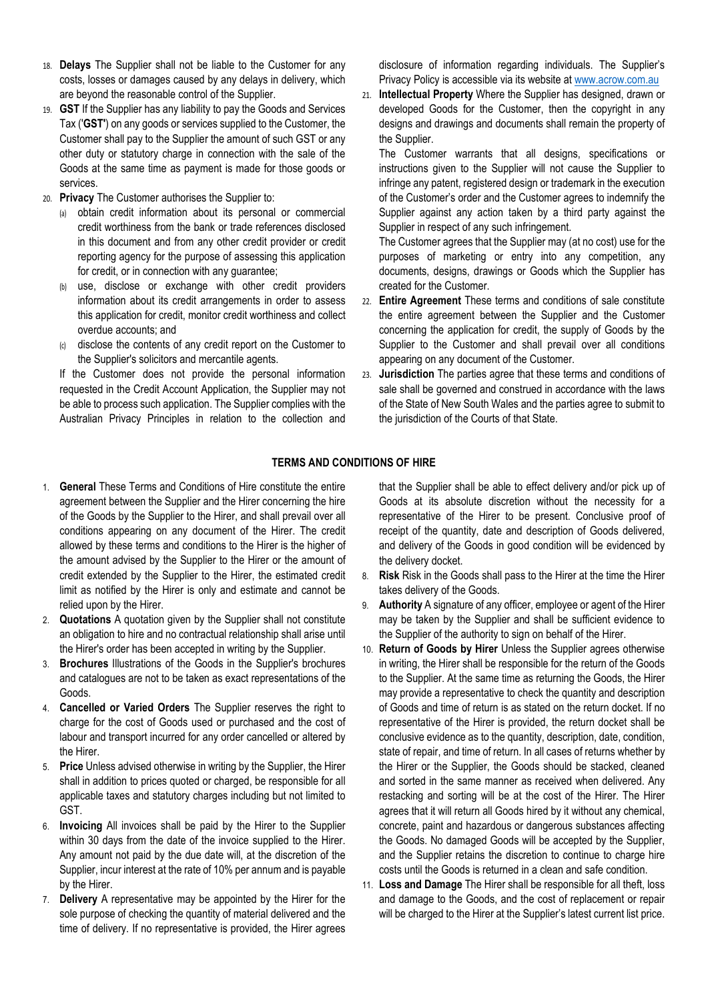- 18. **Delays** The Supplier shall not be liable to the Customer for any costs, losses or damages caused by any delays in delivery, which are beyond the reasonable control of the Supplier.
- 19. **GST** If the Supplier has any liability to pay the Goods and Services Tax ('**GST'**) on any goods or services supplied to the Customer, the Customer shall pay to the Supplier the amount of such GST or any other duty or statutory charge in connection with the sale of the Goods at the same time as payment is made for those goods or services.
- 20. **Privacy** The Customer authorises the Supplier to:
	- (a) obtain credit information about its personal or commercial credit worthiness from the bank or trade references disclosed in this document and from any other credit provider or credit reporting agency for the purpose of assessing this application for credit, or in connection with any guarantee;
	- use, disclose or exchange with other credit providers information about its credit arrangements in order to assess this application for credit, monitor credit worthiness and collect overdue accounts; and
	- (c) disclose the contents of any credit report on the Customer to the Supplier's solicitors and mercantile agents.

If the Customer does not provide the personal information requested in the Credit Account Application, the Supplier may not be able to process such application. The Supplier complies with the Australian Privacy Principles in relation to the collection and

disclosure of information regarding individuals. The Supplier's Privacy Policy is accessible via its website at [www.acrow.com.au](http://www.acrow.com.au/) 

21. **Intellectual Property** Where the Supplier has designed, drawn or developed Goods for the Customer, then the copyright in any designs and drawings and documents shall remain the property of the Supplier.

The Customer warrants that all designs, specifications or instructions given to the Supplier will not cause the Supplier to infringe any patent, registered design or trademark in the execution of the Customer's order and the Customer agrees to indemnify the Supplier against any action taken by a third party against the Supplier in respect of any such infringement.

The Customer agrees that the Supplier may (at no cost) use for the purposes of marketing or entry into any competition, any documents, designs, drawings or Goods which the Supplier has created for the Customer.

- 22. **Entire Agreement** These terms and conditions of sale constitute the entire agreement between the Supplier and the Customer concerning the application for credit, the supply of Goods by the Supplier to the Customer and shall prevail over all conditions appearing on any document of the Customer.
- 23. **Jurisdiction** The parties agree that these terms and conditions of sale shall be governed and construed in accordance with the laws of the State of New South Wales and the parties agree to submit to the jurisdiction of the Courts of that State.

## **TERMS AND CONDITIONS OF HIRE**

- 1. **General** These Terms and Conditions of Hire constitute the entire agreement between the Supplier and the Hirer concerning the hire of the Goods by the Supplier to the Hirer, and shall prevail over all conditions appearing on any document of the Hirer. The credit allowed by these terms and conditions to the Hirer is the higher of the amount advised by the Supplier to the Hirer or the amount of credit extended by the Supplier to the Hirer, the estimated credit limit as notified by the Hirer is only and estimate and cannot be relied upon by the Hirer.
- 2. **Quotations** A quotation given by the Supplier shall not constitute an obligation to hire and no contractual relationship shall arise until the Hirer's order has been accepted in writing by the Supplier.
- 3. **Brochures** Illustrations of the Goods in the Supplier's brochures and catalogues are not to be taken as exact representations of the Goods.
- 4. **Cancelled or Varied Orders** The Supplier reserves the right to charge for the cost of Goods used or purchased and the cost of labour and transport incurred for any order cancelled or altered by the Hirer.
- 5. **Price** Unless advised otherwise in writing by the Supplier, the Hirer shall in addition to prices quoted or charged, be responsible for all applicable taxes and statutory charges including but not limited to GST.
- 6. **Invoicing** All invoices shall be paid by the Hirer to the Supplier within 30 days from the date of the invoice supplied to the Hirer. Any amount not paid by the due date will, at the discretion of the Supplier, incur interest at the rate of 10% per annum and is payable by the Hirer.
- 7. **Delivery** A representative may be appointed by the Hirer for the sole purpose of checking the quantity of material delivered and the time of delivery. If no representative is provided, the Hirer agrees

that the Supplier shall be able to effect delivery and/or pick up of Goods at its absolute discretion without the necessity for a representative of the Hirer to be present. Conclusive proof of receipt of the quantity, date and description of Goods delivered, and delivery of the Goods in good condition will be evidenced by the delivery docket.

- 8. **Risk** Risk in the Goods shall pass to the Hirer at the time the Hirer takes delivery of the Goods.
- 9. **Authority** A signature of any officer, employee or agent of the Hirer may be taken by the Supplier and shall be sufficient evidence to the Supplier of the authority to sign on behalf of the Hirer.
- 10. **Return of Goods by Hirer** Unless the Supplier agrees otherwise in writing, the Hirer shall be responsible for the return of the Goods to the Supplier. At the same time as returning the Goods, the Hirer may provide a representative to check the quantity and description of Goods and time of return is as stated on the return docket. If no representative of the Hirer is provided, the return docket shall be conclusive evidence as to the quantity, description, date, condition, state of repair, and time of return. In all cases of returns whether by the Hirer or the Supplier, the Goods should be stacked, cleaned and sorted in the same manner as received when delivered. Any restacking and sorting will be at the cost of the Hirer. The Hirer agrees that it will return all Goods hired by it without any chemical, concrete, paint and hazardous or dangerous substances affecting the Goods. No damaged Goods will be accepted by the Supplier, and the Supplier retains the discretion to continue to charge hire costs until the Goods is returned in a clean and safe condition.
- 11. **Loss and Damage** The Hirer shall be responsible for all theft, loss and damage to the Goods, and the cost of replacement or repair will be charged to the Hirer at the Supplier's latest current list price.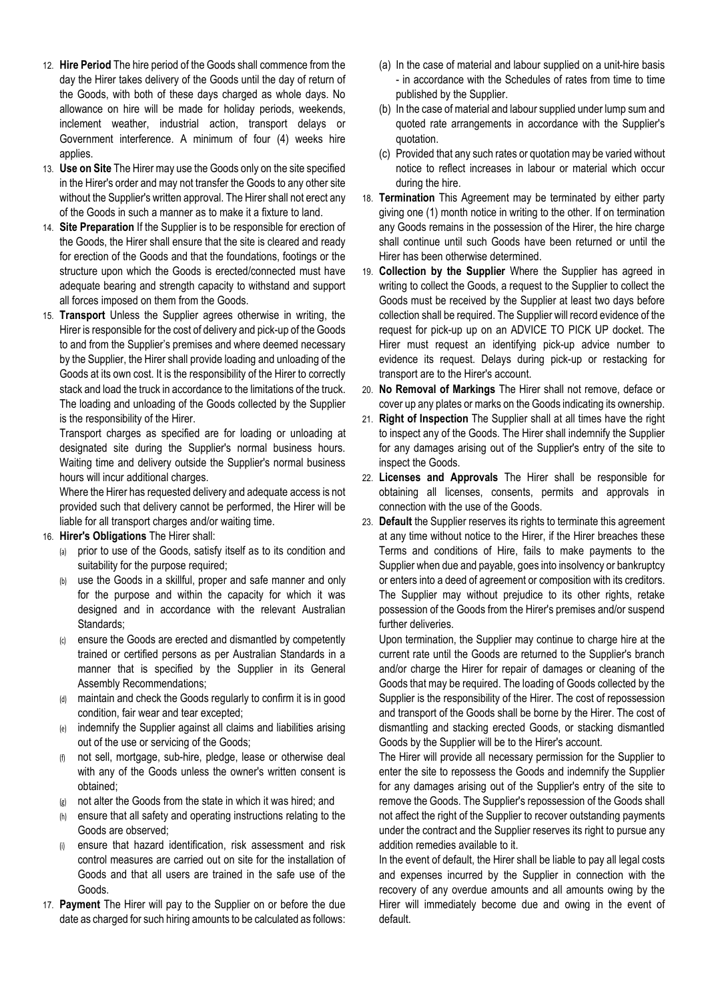- 12. **Hire Period** The hire period of the Goods shall commence from the day the Hirer takes delivery of the Goods until the day of return of the Goods, with both of these days charged as whole days. No allowance on hire will be made for holiday periods, weekends, inclement weather, industrial action, transport delays or Government interference. A minimum of four (4) weeks hire applies.
- 13. **Use on Site** The Hirer may use the Goods only on the site specified in the Hirer's order and may not transfer the Goods to any other site without the Supplier's written approval. The Hirer shall not erect any of the Goods in such a manner as to make it a fixture to land.
- 14. **Site Preparation** If the Supplier is to be responsible for erection of the Goods, the Hirer shall ensure that the site is cleared and ready for erection of the Goods and that the foundations, footings or the structure upon which the Goods is erected/connected must have adequate bearing and strength capacity to withstand and support all forces imposed on them from the Goods.
- 15. **Transport** Unless the Supplier agrees otherwise in writing, the Hirer is responsible for the cost of delivery and pick-up of the Goods to and from the Supplier's premises and where deemed necessary by the Supplier, the Hirer shall provide loading and unloading of the Goods at its own cost. It is the responsibility of the Hirer to correctly stack and load the truck in accordance to the limitations of the truck. The loading and unloading of the Goods collected by the Supplier is the responsibility of the Hirer.

Transport charges as specified are for loading or unloading at designated site during the Supplier's normal business hours. Waiting time and delivery outside the Supplier's normal business hours will incur additional charges.

Where the Hirer has requested delivery and adequate access is not provided such that delivery cannot be performed, the Hirer will be liable for all transport charges and/or waiting time.

#### 16. **Hirer's Obligations** The Hirer shall:

- (a) prior to use of the Goods, satisfy itself as to its condition and suitability for the purpose required;
- (b) use the Goods in a skillful, proper and safe manner and only for the purpose and within the capacity for which it was designed and in accordance with the relevant Australian Standards;
- ensure the Goods are erected and dismantled by competently trained or certified persons as per Australian Standards in a manner that is specified by the Supplier in its General Assembly Recommendations;
- (d) maintain and check the Goods regularly to confirm it is in good condition, fair wear and tear excepted;
- (e) indemnify the Supplier against all claims and liabilities arising out of the use or servicing of the Goods;
- (f) not sell, mortgage, sub-hire, pledge, lease or otherwise deal with any of the Goods unless the owner's written consent is obtained;
- (g) not alter the Goods from the state in which it was hired; and
- (h) ensure that all safety and operating instructions relating to the Goods are observed;
- ensure that hazard identification, risk assessment and risk control measures are carried out on site for the installation of Goods and that all users are trained in the safe use of the Goods.
- 17. **Payment** The Hirer will pay to the Supplier on or before the due date as charged for such hiring amounts to be calculated as follows:
- (a) In the case of material and labour supplied on a unit-hire basis - in accordance with the Schedules of rates from time to time published by the Supplier.
- (b) In the case of material and labour supplied under lump sum and quoted rate arrangements in accordance with the Supplier's quotation.
- (c) Provided that any such rates or quotation may be varied without notice to reflect increases in labour or material which occur during the hire.
- 18. **Termination** This Agreement may be terminated by either party giving one (1) month notice in writing to the other. If on termination any Goods remains in the possession of the Hirer, the hire charge shall continue until such Goods have been returned or until the Hirer has been otherwise determined.
- 19. **Collection by the Supplier** Where the Supplier has agreed in writing to collect the Goods, a request to the Supplier to collect the Goods must be received by the Supplier at least two days before collection shall be required. The Supplier will record evidence of the request for pick-up up on an ADVICE TO PICK UP docket. The Hirer must request an identifying pick-up advice number to evidence its request. Delays during pick-up or restacking for transport are to the Hirer's account.
- 20. **No Removal of Markings** The Hirer shall not remove, deface or cover up any plates or marks on the Goods indicating its ownership.
- 21. **Right of Inspection** The Supplier shall at all times have the right to inspect any of the Goods. The Hirer shall indemnify the Supplier for any damages arising out of the Supplier's entry of the site to inspect the Goods.
- 22. **Licenses and Approvals** The Hirer shall be responsible for obtaining all licenses, consents, permits and approvals in connection with the use of the Goods.
- 23. **Default** the Supplier reserves its rights to terminate this agreement at any time without notice to the Hirer, if the Hirer breaches these Terms and conditions of Hire, fails to make payments to the Supplier when due and payable, goes into insolvency or bankruptcy or enters into a deed of agreement or composition with its creditors. The Supplier may without prejudice to its other rights, retake possession of the Goods from the Hirer's premises and/or suspend further deliveries.

Upon termination, the Supplier may continue to charge hire at the current rate until the Goods are returned to the Supplier's branch and/or charge the Hirer for repair of damages or cleaning of the Goods that may be required. The loading of Goods collected by the Supplier is the responsibility of the Hirer. The cost of repossession and transport of the Goods shall be borne by the Hirer. The cost of dismantling and stacking erected Goods, or stacking dismantled Goods by the Supplier will be to the Hirer's account.

The Hirer will provide all necessary permission for the Supplier to enter the site to repossess the Goods and indemnify the Supplier for any damages arising out of the Supplier's entry of the site to remove the Goods. The Supplier's repossession of the Goods shall not affect the right of the Supplier to recover outstanding payments under the contract and the Supplier reserves its right to pursue any addition remedies available to it.

In the event of default, the Hirer shall be liable to pay all legal costs and expenses incurred by the Supplier in connection with the recovery of any overdue amounts and all amounts owing by the Hirer will immediately become due and owing in the event of default.